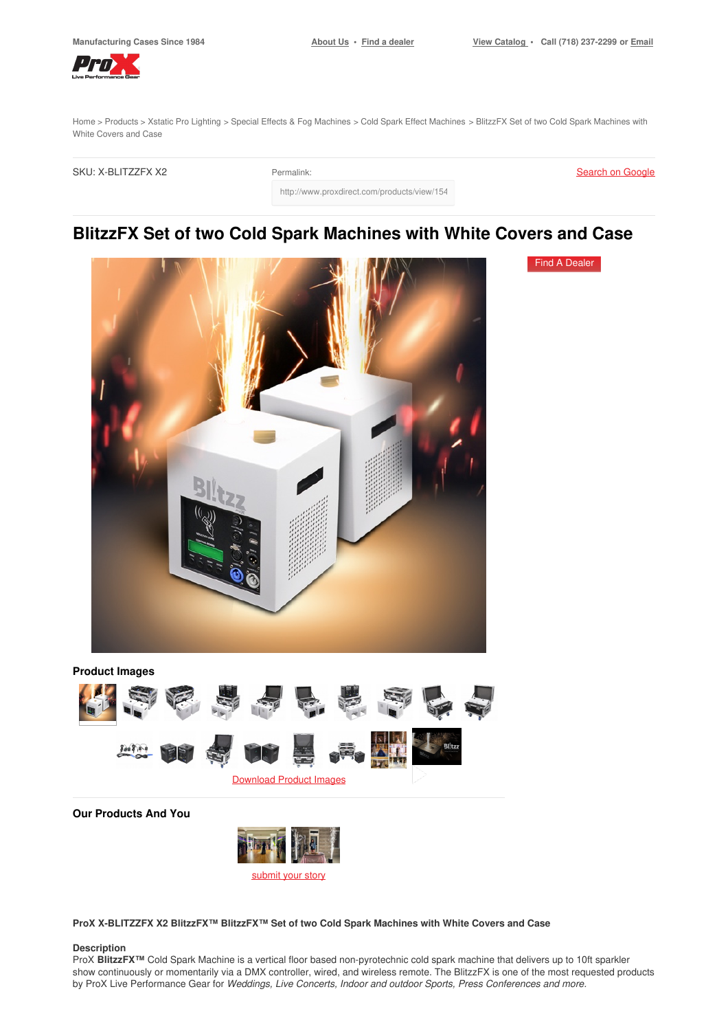

[Home](https://www.proxdirect.com/) > [Products](https://www.proxdirect.com/products/) > Xstatic Pro [Lighting](https://www.proxdirect.com/products/browse/category/Xstatic-Pro-Lighting) > Special Effects & Fog [Machines](https://www.proxdirect.com/products/browse/category/Special-Effects-Fog-Machines) > Cold Spark Effect [Machines](https://www.proxdirect.com/products/browse/category/Cold-Spark-Effect-Machines) > BlitzzFX Set of two Cold Spark Machines with White Covers and Case

http://www.proxdirect.com/products/view/1546

SKU: X-BLITZZFX X2 Permalink:

Search on [Google](https://www.google.com/search?q=X-BLITZZFX+X2)

# **BlitzzFX Set of two Cold Spark Machines with White Covers and Case**



Find A [Dealer](https://www.proxdirect.com/dealer/locator/)

**Product Images**



**Our Products And You**



**ProX X-BLITZZFX X2 BlitzzFX™ BlitzzFX™ Set of two Cold Spark Machines with White Covers and Case**

#### **Description**

ProX **BlitzzFX**™ Cold Spark Machine is a vertical floor based non-pyrotechnic cold spark machine that delivers up to 10ft sparkler show continuously or momentarily via a DMX controller, wired, and wireless remote. The BlitzzFX is one of the most requested products by ProX Live Performance Gear for *Weddings, Live Concerts, Indoor and outdoor Sports, Press Conferences and more.*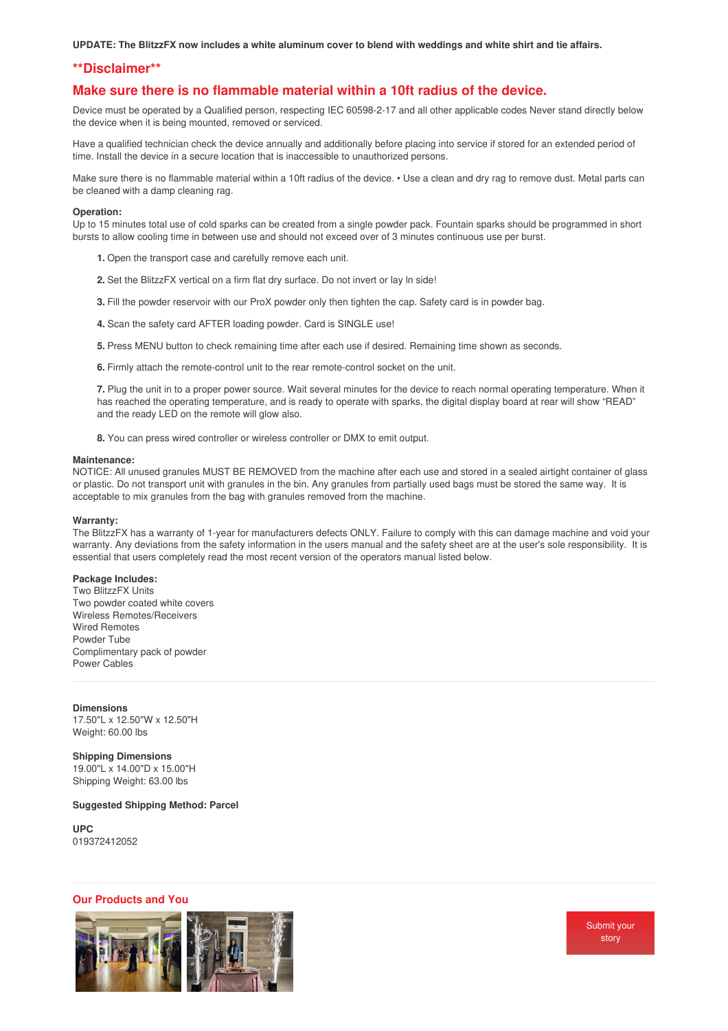UPDATE: The BlitzzFX now includes a white aluminum cover to blend with weddings and white shirt and tie affairs.

## **\*\*Disclaimer\*\***

# **Make sure there is no flammable material within a 10ft radius of the device.**

Device must be operated by a Qualified person, respecting IEC 60598-2-17 and all other applicable codes Never stand directly below the device when it is being mounted, removed or serviced.

Have a qualified technician check the device annually and additionally before placing into service if stored for an extended period of time. Install the device in a secure location that is inaccessible to unauthorized persons.

Make sure there is no flammable material within a 10ft radius of the device. • Use a clean and dry rag to remove dust. Metal parts can be cleaned with a damp cleaning rag.

#### **Operation:**

Up to 15 minutes total use of cold sparks can be created from a single powder pack. Fountain sparks should be programmed in short bursts to allow cooling time in between use and should not exceed over of 3 minutes continuous use per burst.

- **1.** Open the transport case and carefully remove each unit.
- **2.** Set the BlitzzFX vertical on a firm flat dry surface. Do not invert or lay ln side!
- **3.** Fill the powder reservoir with our ProX powder only then tighten the cap. Safety card is in powder bag.
- **4.** Scan the safety card AFTER loading powder. Card is SINGLE use!
- **5.** Press MENU button to check remaining time after each use if desired. Remaining time shown as seconds.
- **6.** Firmly attach the remote-control unit to the rear remote-control socket on the unit.

**7.** Plug the unit in to a proper power source. Wait several minutes for the device to reach normal operating temperature. When it has reached the operating temperature, and is ready to operate with sparks, the digital display board at rear will show "READ" and the ready LED on the remote will glow also.

**8.** You can press wired controller or wireless controller or DMX to emit output.

#### **Maintenance:**

NOTICE: All unused granules MUST BE REMOVED from the machine after each use and stored in a sealed airtight container of glass or plastic. Do not transport unit with granules in the bin. Any granules from partially used bags must be stored the same way. It is acceptable to mix granules from the bag with granules removed from the machine.

#### **Warranty:**

The BlitzzFX has a warranty of 1-year for manufacturers defects ONLY. Failure to comply with this can damage machine and void your warranty. Any deviations from the safety information in the users manual and the safety sheet are at the user's sole responsibility. It is essential that users completely read the most recent version of the operators manual listed below.

#### **Package Includes:**

Two BlitzzFX Units Two powder coated white covers Wireless Remotes/Receivers Wired Remotes Powder Tube Complimentary pack of powder Power Cables

#### **Dimensions**

17.50"L x 12.50"W x 12.50"H Weight: 60.00 lbs

# **Shipping Dimensions**

19.00"L x 14.00"D x 15.00"H Shipping Weight: 63.00 lbs

#### **Suggested Shipping Method: Parcel**

**UPC** 019372412052

## **Our Products and You**



[Submit](mailto:info@proxdirect.com?Subject=Our%20Products%20and%20You%20Submission%20BlitzzFX+Set+of+two+Cold+Spark+Machines+with+White+Covers+and+Case) your story